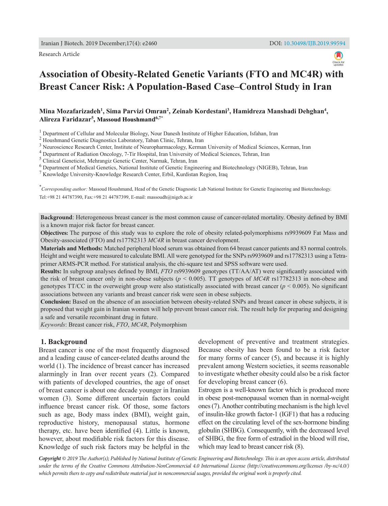Research Article



# **Association of Obesity-Related Genetic Variants (FTO and MC4R) with Breast Cancer Risk: A Population-Based Case–Control Study in Iran**

Mina Mozafarizadeh<sup>1</sup>, Sima Parvizi Omran<sup>2</sup>, Zeinab Kordestani<sup>3</sup>, Hamidreza Manshadi Dehghan<sup>4</sup>, **Alireza Faridazar5 , Massoud Houshmand6,7\***

<sup>1</sup> Department of Cellular and Molecular Biology, Nour Danesh Institute of Higher Education, Isfahan, Iran

<sup>2</sup> Houshmand Genetic Diagnostics Laboratory, Taban Clinic, Tehran, Iran

<sup>3</sup> Neuroscience Research Center, Institute of Neuropharmacology, Kerman University of Medical Sciences, Kerman, Iran

<sup>4</sup> Department of Radiation Oncology, 7-Tir Hospital, Iran University of Medical Sciences, Tehran, Iran

<sup>5</sup> Clinical Geneticist, Mehrangiz Genetic Center, Narmak, Tehran, Iran

<sup>6</sup> Department of Medical Genetics, National Institute of Genetic Engineering and Biotechnology (NIGEB), Tehran, Iran

<sup>7</sup> Knowledge University-Knowledge Research Center, Erbil, Kurdistan Region, Iraq

\* *Corresponding author:* Massoud Houshmand, Head of the Genetic Diagnostic Lab National Institute for Genetic Engineering and Biotechnology. Tel:+98 21 44787390, Fax:+98 21 44787399, E-mail: [massoudh@nigeb.ac.ir](mailto:massoudh@nigeb.ac.ir)

**Background**: Heterogeneous breast cancer is the most common cause of cancer-related mortality. Obesity defined by BMI is a known major risk factor for breast cancer.

**Objectives:** The purpose of this study was to explore the role of obesity related-polymorphisms rs9939609 Fat Mass and Obesity-associated (FTO) and rs17782313 *MC4R* in breast cancer development.

**Materials and Methods:** Matched peripheral blood serum was obtained from 64 breast cancer patients and 83 normal controls. Height and weight were measured to calculate BMI. All were genotyped for the SNPs rs9939609 and rs17782313 using a Tetraprimer ARMS-PCR method. For statistical analysis, the chi-square test and SPSS software were used.

**Results:** In subgroup analyses defined by BMI, *FTO* rs9939609 genotypes (TT/AA/AT) were significantly associated with the risk of breast cancer only in non-obese subjects (*p* < 0.005). TT genotypes of *MC4R* rs17782313 in non-obese and genotypes TT/CC in the overweight group were also statistically associated with breast cancer  $(p < 0.005)$ . No significant associations between any variants and breast cancer risk were seen in obese subjects.

**Conclusion:** Based on the absence of an association between obesity-related SNPs and breast cancer in obese subjects, it is proposed that weight gain in Iranian women will help prevent breast cancer risk. The result help for preparing and designing a safe and versatile recombinant drug in future.

*Keywords*: Breast cancer risk, *FTO*, *MC4R*, Polymorphism

#### **1. Background**

Breast cancer is one of the most frequently diagnosed and a leading cause of cancer-related deaths around the world (1). The incidence of breast cancer has increased alarmingly in Iran over recent years (2). Compared with patients of developed countries, the age of onset of breast cancer is about one decade younger in Iranian women (3). Some different uncertain factors could influence breast cancer risk. Of those, some factors such as age, Body mass index (BMI), weight gain, reproductive history, menopausal status, hormone therapy, etc. have been identified (4). Little is known, however, about modifiable risk factors for this disease. Knowledge of such risk factors may be helpful in the

development of preventive and treatment strategies. Because obesity has been found to be a risk factor for many forms of cancer (5), and because it is highly prevalent among Western societies, it seems reasonable to investigate whether obesity could also be a risk factor for developing breast cancer (6).

Estrogen is a well-known factor which is produced more in obese post-menopausal women than in normal-weight ones (7). Another contributing mechanism is the high level of insulin-like growth factor-1 (IGF1) that has a reducing effect on the circulating level of the sex-hormone binding globulin (SHBG). Consequently, with the decreased level of SHBG, the free form of estradiol in the blood will rise, which may lead to breast cancer risk (8).

*Copyright © 2019 The Author(s); Published by National Institute of Genetic Engineering and Biotechnology. This is an open access article, distributed under the terms of the Creative Commons Attribution-NonCommercial 4.0 International License (http://creativecommons.org/licenses /by-nc/4.0/) which permits thers to copy and redistribute material just in noncommercial usages, provided the original work is properly cited.*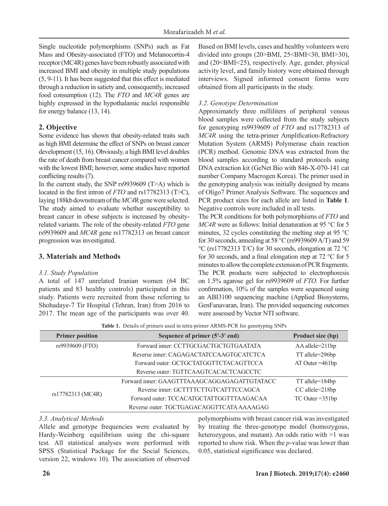Single nucleotide polymorphisms (SNPs) such as Fat Mass and Obesity-associated (FTO) and Melanocortin-4 receptor (MC4R) genes have been robustly associated with increased BMI and obesity in multiple study populations (5, 9-11). It has been suggested that this effect is mediated through a reduction in satiety and, consequently, increased food consumption (12). The *FTO* and *MC4R* genes are highly expressed in the hypothalamic nuclei responsible for energy balance (13, 14).

# **2. Objective**

Some evidence has shown that obesity-related traits such as high BMI determine the effect of SNPs on breast cancer development (15, 16). Obviously, a high BMI level doubles the rate of death from breast cancer compared with women with the lowest BMI; however, some studies have reported conflicting results (7).

In the current study, the SNP rs9939609 (T>A) which is located in the first intron of *FTO* and rs17782313 (T>C), laying 188kb downstream of the *MC4*R gene were selected. The study aimed to evaluate whether susceptibility to breast cancer in obese subjects is increased by obesityrelated variants. The role of the obesity-related *FTO* gene rs9939609 and *MC4R* gene rs17782313 on breast cancer progression was investigated.

# **3. Materials and Methods**

## *3.1. Study Population*

A total of 147 unrelated Iranian women (64 BC patients and 83 healthy controls) participated in this study. Patients were recruited from those referring to Shohadaye-7 Tir Hospital (Tehran, Iran) from 2016 to 2017. The mean age of the participants was over 40. Based on BMI levels, cases and healthy volunteers were divided into groups  $(20 \rightarrow BMI, 25 \rightarrow BMI \rightarrow 30, BMI \rightarrow 30)$ , and (20<BMI<25), respectively. Age, gender, physical activity level, and family history were obtained through interviews. Signed informed consent forms were obtained from all participants in the study.

# *3.2. Genotype Determination*

Approximately three milliliters of peripheral venous blood samples were collected from the study subjects for genotyping rs9939609 of *FTO* and rs17782313 of *MC4R* using the tetra-primer Amplification-Refractory Mutation System (ARMS) Polymerase chain reaction (PCR) method. Genomic DNA was extracted from the blood samples according to standard protocols using DNA extraction kit (GeNet Bio with 846-X-070-141 cat number Company Macrogen Korea). The primer used in the genotyping analysis was initially designed by means of Oligo7 Primer Analysis Software. The sequences and PCR product sizes for each allele are listed in **Table 1**. Negative controls were included in all tests.

The PCR conditions for both polymorphisms of *FTO* and *MC4R* were as follows: Initial denaturation at 95 °C for 5 minutes, 32 cycles constituting the melting step at 95  $\degree$ C for 30 seconds, annealing at 58 °C (rs9939609 A/T) and 59 °C (rs17782313 T/C) for 30 seconds, elongation at 72 °C for 30 seconds, and a final elongation step at 72 °C for 5 minutes to allow the complete extension of PCR fragments. The PCR products were subjected to electrophoresis on 1.5% agarose gel for rs9939609 of *FTO.* For further confirmation, 10% of the samples were sequenced using an ABI3100 sequencing machine (Applied Biosystems, GenFanavaran, Iran). The provided sequencing outcomes were assessed by Vector NTI software.

| <b>Primer position</b> | Sequence of primer (5'-3' end)               | Product size (bp)  |
|------------------------|----------------------------------------------|--------------------|
| rs9939609 (FTO)        | Forward inner: CCTTGCGACTGCTGTGAATATA        |                    |
|                        | Reverse inner: CAGAGACTATCCAAGTGCATCTCA      | TT allele=296bp    |
|                        | Forward outer: GCTGCTATGGTTCTACAGTTCCA       | $AT$ Outer = 461bp |
|                        | Reverse outer: TGTTCAAGTCACACTCAGCCTC        |                    |
|                        | Forward inner: GAAGTTTAAAGCAGGAGAGATTGTATACC | TT allele=184bp    |
|                        | Reverse inner: GCTTTTCTTGTCATTTCCAGCA        | CC allele=218bp    |
| rs17782313 (MC4R)      | Forward outer: TCCACATGCTATTGGTTTAAGACAA     | $TC$ Outer = 351bp |
|                        | Reverse outer: TGCTGAGACAGGTTCATA AAAAGAG    |                    |

**Table 1.** Details of primers used in tetra-primer ARMS-PCR for genotyping SNPs

## *3.3. Analytical Methods*

Allele and genotype frequencies were evaluated by Hardy-Weinberg equilibrium using the chi-square test. All statistical analyses were performed with SPSS (Statistical Package for the Social Sciences, version 22, windows 10). The association of observed polymorphisms with breast cancer risk was investigated by treating the three-genotype model (homozygous, heterozygous, and mutant). An odds ratio with  $>1$  was reported to show risk. When the *p*-value was lower than 0.05, statistical significance was declared.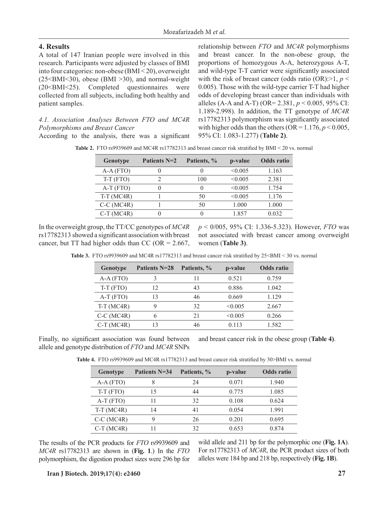## **4. Results**

A total of 147 Iranian people were involved in this research. Participants were adjusted by classes of BMI into four categories: non-obese (BMI < 20), overweight  $(25<sub>SMI</sub>< 30)$ , obese (BMI > 30), and normal-weight (20<BMI<25). Completed questionnaires were collected from all subjects, including both healthy and patient samples.

## *4.1. Association Analyses Between FTO and MC4R Polymorphisms and Breast Cancer*

According to the analysis, there was a significant

relationship between *FTO* and *MC4R* polymorphisms and breast cancer. In the non-obese group, the proportions of homozygous A-A, heterozygous A-T, and wild-type T-T carrier were significantly associated with the risk of breast cancer (odds ratio  $(OR):>1, p <$ 0.005). Those with the wild-type carrier T-T had higher odds of developing breast cancer than individuals with alleles (A-A and A-T) (OR= 2.381, *p* < 0.005, 95% CI: 1.189-2.998). In addition, the TT genotype of *MC4R* rs17782313 polymorphism was significantly associated with higher odds than the others ( $OR = 1.176$ ,  $p < 0.005$ , 95% CI: 1.083-1.277) (**Table 2)**.

| Genotype     | Patients N=2 | Patients, % | p-value | <b>Odds</b> ratio |
|--------------|--------------|-------------|---------|-------------------|
| $A-A (FTO)$  |              |             | < 0.005 | 1.163             |
| $T-T$ (FTO)  |              | 100         | < 0.005 | 2.381             |
| $A-T$ (FTO)  |              |             | < 0.005 | 1.754             |
| $T-T(MC4R)$  |              | 50          | < 0.005 | 1.176             |
| $C-C$ (MC4R) |              | 50          | 1.000   | 1.000             |
| $C-T$ (MC4R) |              |             | 1.857   | 0.032             |

**Table 2.** FTO rs9939609 and MC4R rs17782313 and breast cancer risk stratified by BMI < 20 vs. normal

In the overweight group, the TT/CC genotypes of *MC4R* rs17782313 showed a significant association with breast cancer, but TT had higher odds than CC (OR =  $2.667$ , *p* < 0/005, 95% CI: 1.336-5.323). However, *FTO* was not associated with breast cancer among overweight women (**Table 3)**.

| Genotype     | Patients N=28 Patients, % |    | p-value | Odds ratio |
|--------------|---------------------------|----|---------|------------|
| $A-A(FTO)$   |                           |    | 0.521   | 0.759      |
| $T-T$ (FTO)  |                           |    | 0.886   | 1.042      |
| $A-T$ (FTO)  |                           | 46 | 0.669   | 1.129      |
| $T-T$ (MC4R) |                           |    | <∩ ∩∩5  | 2.667      |

Table 3. FTO rs9939609 and MC4R rs17782313 and breast cancer risk stratified by 25<BMI < 30 vs. normal

Finally, no significant association was found between allele and genotype distribution of *FTO* and *MC4R* SNPs and breast cancer risk in the obese group (**Table 4)**.

C-C (MC4R) 6 21 <0.005 0.266 C-T (MC4R) 13 46 0.113 1.582

**Table 4.** FTO rs9939609 and MC4R rs17782313 and breast cancer risk stratified by 30>BMI vs. normal

| Genotype     | <b>Patients N=34</b> | Patients, % | p-value | <b>Odds</b> ratio |
|--------------|----------------------|-------------|---------|-------------------|
| $A-A (FTO)$  | 8                    | 24          | 0.071   | 1.940             |
| $T-T$ (FTO)  | 15                   | 44          | 0.775   | 1.085             |
| $A-T$ (FTO)  |                      | 32          | 0.108   | 0.624             |
| $T-T$ (MC4R) | 14                   | 41          | 0.054   | 1.991             |
| $C-C$ (MC4R) | 9                    | 26          | 0.201   | 0.695             |
| $C-T$ (MC4R) |                      | 32          | 0.653   | 0.874             |

The results of the PCR products for *FTO* rs9939609 and *MC4R* rs17782313 are shown in (**Fig. 1**.) In the *FTO* polymorphism, the digestion product sizes were 296 bp for wild allele and 211 bp for the polymorphic one (**Fig. 1A**). For rs17782313 of *MC4R*, the PCR product sizes of both alleles were 184 bp and 218 bp, respectively (**Fig. 1B**).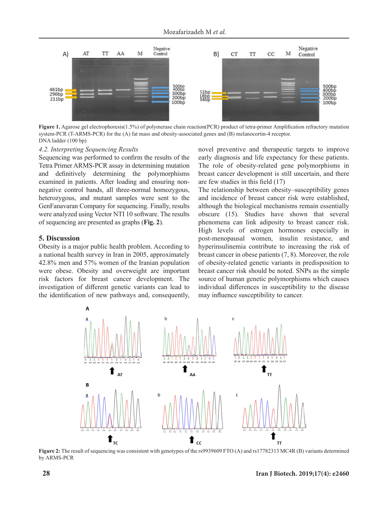

**Figure 1.** Agarose gel electrophoresis(1.5%) of polymerase chain reaction(PCR) product of tetra-primer Amplification refractory mutation system-PCR (T-ARMS-PCR) for the (A) fat mass and obesity-associated genes and (B) melanocortin-4 receptor. DNA ladder (100 bp)

#### *4.2. Interpreting Sequencing Results*

Sequencing was performed to confirm the results of the Tetra Primer ARMS-PCR assay in determining mutation and definitively determining the polymorphisms examined in patients. After loading and ensuring nonnegative control bands, all three-normal homozygous, heterozygous, and mutant samples were sent to the GenFanavaran Company for sequencing. Finally, results were analyzed using Vector NTI 10 software. The results of sequencing are presented as graphs (**Fig. 2**).

#### **5. Discussion**

Obesity is a major public health problem. According to a national health survey in Iran in 2005, approximately 42.8% men and 57% women of the Iranian population were obese. Obesity and overweight are important risk factors for breast cancer development. The investigation of different genetic variants can lead to the identification of new pathways and, consequently, novel preventive and therapeutic targets to improve early diagnosis and life expectancy for these patients. The role of obesity-related gene polymorphisms in breast cancer development is still uncertain, and there are few studies in this field (17)

The relationship between obesity–susceptibility genes and incidence of breast cancer risk were established, although the biological mechanisms remain essentially obscure (15). Studies have shown that several phenomena can link adiposity to breast cancer risk. High levels of estrogen hormones especially in post-menopausal women, insulin resistance, and hyperinsulinemia contribute to increasing the risk of breast cancer in obese patients (7, 8). Moreover, the role of obesity-related genetic variants in predisposition to breast cancer risk should be noted. SNPs as the simple source of human genetic polymorphisms which causes individual differences in susceptibility to the disease may influence susceptibility to cancer.



**Figure 2:** The result of sequencing was consistent with genotypes of the rs9939609 FTO (A) and rs17782313 MC4R (B) variants determined by ARMS-PCR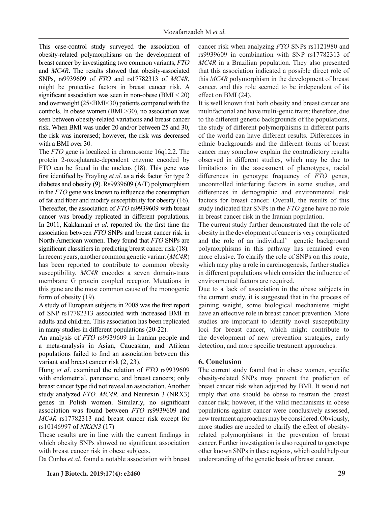This case-control study surveyed the association of obesity-related polymorphisms on the development of breast cancer by investigating two common variants, *FTO* and *MC4R***.** The results showed that obesity-associated SNPs, rs9939609 of *FTO* and rs17782313 of *MC4R*, might be protective factors in breast cancer risk. A significant association was seen in non-obese (BMI < 20) and overweight (25<BMI<30) patients compared with the controls. In obese women (BMI >30), no association was seen between obesity-related variations and breast cancer risk. When BMI was under 20 and/or between 25 and 30, the risk was increased; however, the risk was decreased with a BMI over 30.

The *FTO* gene is localized in chromosome 16q12.2. The protein 2-oxoglutarate-dependent enzyme encoded by FTO can be found in the nucleus (18). This gene was first identified by Frayling *et al*. as a risk factor for type 2 diabetes and obesity (9). Rs9939609 (A/T) polymorphism in the *FTO* gene was known to influence the consumption of fat and fiber and modify susceptibility for obesity (16). Thereafter, the association of *FTO* rs9939609 with breast cancer was broadly replicated in different populations. In 2011, Kaklamani *et al*. reported for the first time the association between *FTO* SNPs and breast cancer risk in North-American women. They found that *FTO* SNPs are significant classifiers in predicting breast cancer risk (18). In recent years, another common genetic variant (*MC4R*) has been reported to contribute to common obesity susceptibility. *MC4R* encodes a seven domain-trans membrane G protein coupled receptor. Mutations in this gene are the most common cause of the monogenic form of obesity (19).

A study of European subjects in 2008 was the first report of SNP rs17782313 associated with increased BMI in adults and children. This association has been replicated in many studies in different populations (20-22).

An analysis of *FTO* rs9939609 in Iranian people and a meta-analysis in Asian, Caucasian, and African populations failed to find an association between this variant and breast cancer risk (2, 23).

Hung *et al*. examined the relation of *FTO* rs9939609 with endometrial, pancreatic, and breast cancers; only breast cancer type did not reveal an association. Another study analyzed *FTO, MC4R,* and Neurexin 3 (NRX3) genes in Polish women. Similarly, no significant association was found between *FTO* rs9939609 and *MC4R* rs17782313 and breast cancer risk except for rs10146997 of *NRXN3* (17)

These results are in line with the current findings in which obesity SNPs showed no significant association with breast cancer risk in obese subjects.

Da Cunha *et al*. found a notable association with breast

**Iran J Biotech. 2019;17(4): e2460 29**

cancer risk when analyzing *FTO* SNPs rs1121980 and rs9939609 in combination with SNP rs17782313 of *MC4R* in a Brazilian population*.* They also presented that this association indicated a possible direct role of this *MC4R* polymorphism in the development of breast cancer, and this role seemed to be independent of its effect on BMI (24).

It is well known that both obesity and breast cancer are multifactorial and have multi-genic traits; therefore, due to the different genetic backgrounds of the populations, the study of different polymorphisms in different parts of the world can have different results. Differences in ethnic backgrounds and the different forms of breast cancer may somehow explain the contradictory results observed in different studies, which may be due to limitations in the assessment of phenotypes, racial differences in genotype frequency of *FTO* genes, uncontrolled interfering factors in some studies, and differences in demographic and environmental risk factors for breast cancer. Overall, the results of this study indicated that SNPs in the *FTO* gene have no role in breast cancer risk in the Iranian population.

The current study further demonstrated that the role of obesity in the development of cancer is very complicated and the role of an individual' genetic background polymorphisms in this pathway has remained even more elusive. To clarify the role of SNPs on this route, which may play a role in carcinogenesis, further studies in different populations which consider the influence of environmental factors are required.

Due to a lack of association in the obese subjects in the current study, it is suggested that in the process of gaining weight, some biological mechanisms might have an effective role in breast cancer prevention. More studies are important to identify novel susceptibility loci for breast cancer, which might contribute to the development of new prevention strategies, early detection, and more specific treatment approaches.

## **6. Conclusion**

The current study found that in obese women, specific obesity-related SNPs may prevent the prediction of breast cancer risk when adjusted by BMI. It would not imply that one should be obese to restrain the breast cancer risk; however, if the valid mechanisms in obese populations against cancer were conclusively assessed, new treatment approaches may be considered. Obviously, more studies are needed to clarify the effect of obesityrelated polymorphisms in the prevention of breast cancer. Further investigation is also required to genotype other known SNPs in these regions, which could help our understanding of the genetic basis of breast cancer.